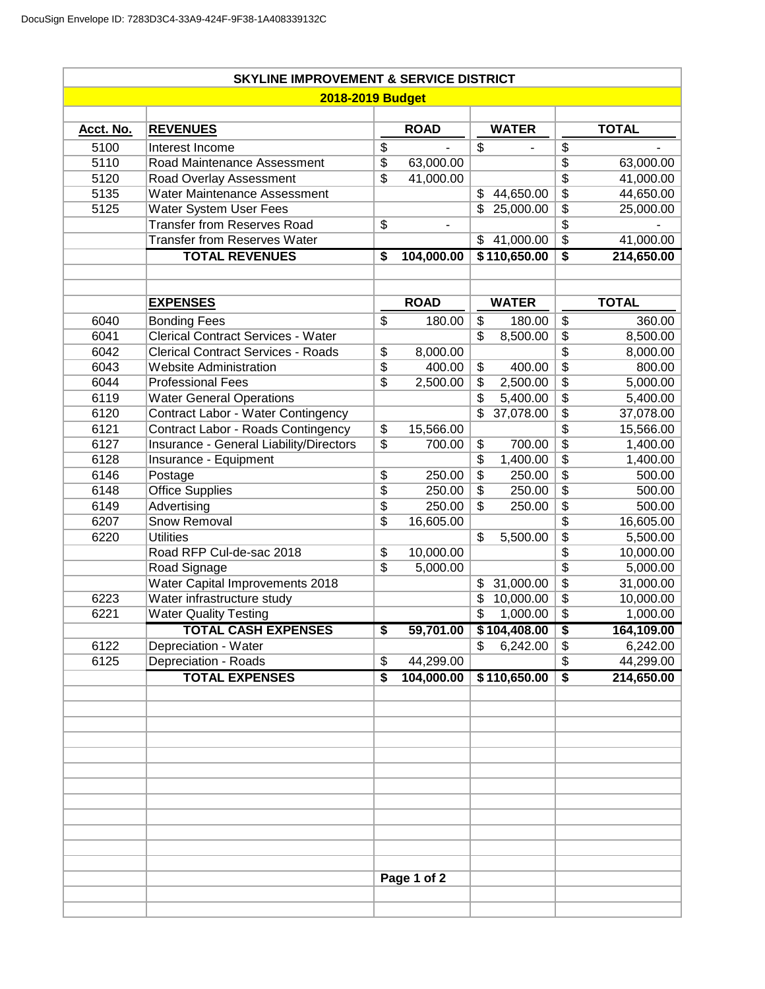|                         | <b>SKYLINE IMPROVEMENT &amp; SERVICE DISTRICT</b> |                          |             |                          |              |                                        |              |  |  |  |  |  |  |
|-------------------------|---------------------------------------------------|--------------------------|-------------|--------------------------|--------------|----------------------------------------|--------------|--|--|--|--|--|--|
| <b>2018-2019 Budget</b> |                                                   |                          |             |                          |              |                                        |              |  |  |  |  |  |  |
|                         |                                                   |                          |             |                          |              |                                        |              |  |  |  |  |  |  |
| Acct. No.               | <b>REVENUES</b>                                   |                          | <b>ROAD</b> |                          | <b>WATER</b> |                                        | <b>TOTAL</b> |  |  |  |  |  |  |
| 5100                    | Interest Income                                   | $\overline{\$}$          |             | $\overline{\$}$          |              | $\overline{\$}$                        |              |  |  |  |  |  |  |
| 5110                    | Road Maintenance Assessment                       | $\overline{\$}$          | 63,000.00   |                          |              | $\overline{\$}$                        | 63,000.00    |  |  |  |  |  |  |
| 5120                    | Road Overlay Assessment                           | $\overline{\$}$          | 41,000.00   |                          |              | $\overline{\$}$                        | 41,000.00    |  |  |  |  |  |  |
| 5135                    | <b>Water Maintenance Assessment</b>               |                          |             | \$                       | 44,650.00    | $\overline{\$}$                        | 44,650.00    |  |  |  |  |  |  |
| 5125                    | <b>Water System User Fees</b>                     |                          |             | \$                       | 25,000.00    | $\overline{\$}$                        | 25,000.00    |  |  |  |  |  |  |
|                         | <b>Transfer from Reserves Road</b>                | $\overline{\$}$          |             |                          |              | $\overline{\$}$                        |              |  |  |  |  |  |  |
|                         | <b>Transfer from Reserves Water</b>               |                          |             | \$                       | 41,000.00    | $\overline{\$}$                        | 41,000.00    |  |  |  |  |  |  |
|                         | <b>TOTAL REVENUES</b>                             | S                        | 104,000.00  |                          | \$110,650.00 | $\overline{\boldsymbol{\mathsf{s}}}$   | 214,650.00   |  |  |  |  |  |  |
|                         |                                                   |                          |             |                          |              |                                        |              |  |  |  |  |  |  |
|                         |                                                   |                          |             |                          |              |                                        |              |  |  |  |  |  |  |
|                         | <b>EXPENSES</b>                                   |                          | <b>ROAD</b> |                          | <b>WATER</b> |                                        | <b>TOTAL</b> |  |  |  |  |  |  |
| 6040                    | <b>Bonding Fees</b>                               | \$                       | 180.00      | \$                       | 180.00       | \$                                     | 360.00       |  |  |  |  |  |  |
| 6041                    | <b>Clerical Contract Services - Water</b>         |                          |             | $\overline{\mathcal{S}}$ | 8,500.00     | $\overline{\mathfrak{s}}$              | 8,500.00     |  |  |  |  |  |  |
| 6042                    | <b>Clerical Contract Services - Roads</b>         | $\overline{\$}$          | 8,000.00    |                          |              | $\overline{\$}$                        | 8,000.00     |  |  |  |  |  |  |
| 6043                    | <b>Website Administration</b>                     | $\overline{\$}$          | 400.00      | $\overline{\$}$          | 400.00       | $\overline{\$}$                        | 800.00       |  |  |  |  |  |  |
| 6044                    | <b>Professional Fees</b>                          | $\overline{\mathcal{S}}$ | 2,500.00    | \$                       | 2,500.00     | $\overline{\$}$                        | 5,000.00     |  |  |  |  |  |  |
| 6119                    | <b>Water General Operations</b>                   |                          |             | $\overline{\$}$          | 5,400.00     | $\overline{\$}$                        | 5,400.00     |  |  |  |  |  |  |
| 6120                    | Contract Labor - Water Contingency                |                          |             | \$                       | 37,078.00    | $\overline{\$}$                        | 37,078.00    |  |  |  |  |  |  |
| 6121                    | Contract Labor - Roads Contingency                | \$                       | 15,566.00   |                          |              | $\overline{\$}$                        | 15,566.00    |  |  |  |  |  |  |
| 6127                    | Insurance - General Liability/Directors           | $\overline{\$}$          | 700.00      | \$                       | 700.00       | $\overline{\$}$                        | 1,400.00     |  |  |  |  |  |  |
| 6128                    | Insurance - Equipment                             |                          |             | \$                       | 1,400.00     | $\overline{\$}$                        | 1,400.00     |  |  |  |  |  |  |
| 6146                    | Postage                                           | $\overline{\$}$          | 250.00      | \$                       | 250.00       | $\overline{\$}$                        | 500.00       |  |  |  |  |  |  |
| 6148                    | <b>Office Supplies</b>                            | $\overline{\$}$          | 250.00      | \$                       | 250.00       | $\overline{\$}$                        | 500.00       |  |  |  |  |  |  |
| 6149                    | Advertising                                       | $\overline{\$}$          | 250.00      | \$                       | 250.00       | $\overline{\$}$                        | 500.00       |  |  |  |  |  |  |
| 6207                    | Snow Removal                                      | \$                       | 16,605.00   |                          |              | $\overline{\$}$                        | 16,605.00    |  |  |  |  |  |  |
| 6220                    | <b>Utilities</b>                                  |                          |             | $\overline{\mathcal{S}}$ | 5,500.00     | $\overline{\$}$                        | 5,500.00     |  |  |  |  |  |  |
|                         | Road RFP Cul-de-sac 2018                          | $\overline{\$}$          | 10,000.00   |                          |              | \$                                     | 10,000.00    |  |  |  |  |  |  |
|                         | Road Signage                                      | $\overline{\mathbb{S}}$  | 5,000.00    |                          |              | $\overline{\$}$                        | 5,000.00     |  |  |  |  |  |  |
|                         | <b>Water Capital Improvements 2018</b>            |                          |             | \$                       | 31,000.00    | $\overline{\$}$                        | 31,000.00    |  |  |  |  |  |  |
| 6223                    | Water infrastructure study                        |                          |             | \$                       | 10,000.00    | \$                                     | 10,000.00    |  |  |  |  |  |  |
| 6221                    | <b>Water Quality Testing</b>                      |                          |             | \$                       | 1,000.00     | $\overline{\$}$                        | 1,000.00     |  |  |  |  |  |  |
|                         | <b>TOTAL CASH EXPENSES</b>                        | \$                       | 59,701.00   |                          | \$104,408.00 | \$                                     | 164,109.00   |  |  |  |  |  |  |
| 6122                    | Depreciation - Water                              |                          |             | \$                       | 6,242.00     | \$                                     | 6,242.00     |  |  |  |  |  |  |
| 6125                    | Depreciation - Roads                              | \$                       | 44,299.00   |                          |              | $\overline{\$}$                        | 44,299.00    |  |  |  |  |  |  |
|                         | <b>TOTAL EXPENSES</b>                             | \$                       | 104,000.00  |                          | \$110,650.00 | $\overline{\boldsymbol{\mathfrak{s}}}$ | 214,650.00   |  |  |  |  |  |  |
|                         |                                                   |                          |             |                          |              |                                        |              |  |  |  |  |  |  |
|                         |                                                   |                          |             |                          |              |                                        |              |  |  |  |  |  |  |
|                         |                                                   |                          |             |                          |              |                                        |              |  |  |  |  |  |  |
|                         |                                                   |                          |             |                          |              |                                        |              |  |  |  |  |  |  |
|                         |                                                   |                          |             |                          |              |                                        |              |  |  |  |  |  |  |
|                         |                                                   |                          |             |                          |              |                                        |              |  |  |  |  |  |  |
|                         |                                                   |                          |             |                          |              |                                        |              |  |  |  |  |  |  |
|                         |                                                   |                          |             |                          |              |                                        |              |  |  |  |  |  |  |
|                         |                                                   |                          |             |                          |              |                                        |              |  |  |  |  |  |  |
|                         |                                                   |                          |             |                          |              |                                        |              |  |  |  |  |  |  |
|                         |                                                   |                          |             |                          |              |                                        |              |  |  |  |  |  |  |
|                         |                                                   |                          | Page 1 of 2 |                          |              |                                        |              |  |  |  |  |  |  |
|                         |                                                   |                          |             |                          |              |                                        |              |  |  |  |  |  |  |
|                         |                                                   |                          |             |                          |              |                                        |              |  |  |  |  |  |  |
|                         |                                                   |                          |             |                          |              |                                        |              |  |  |  |  |  |  |